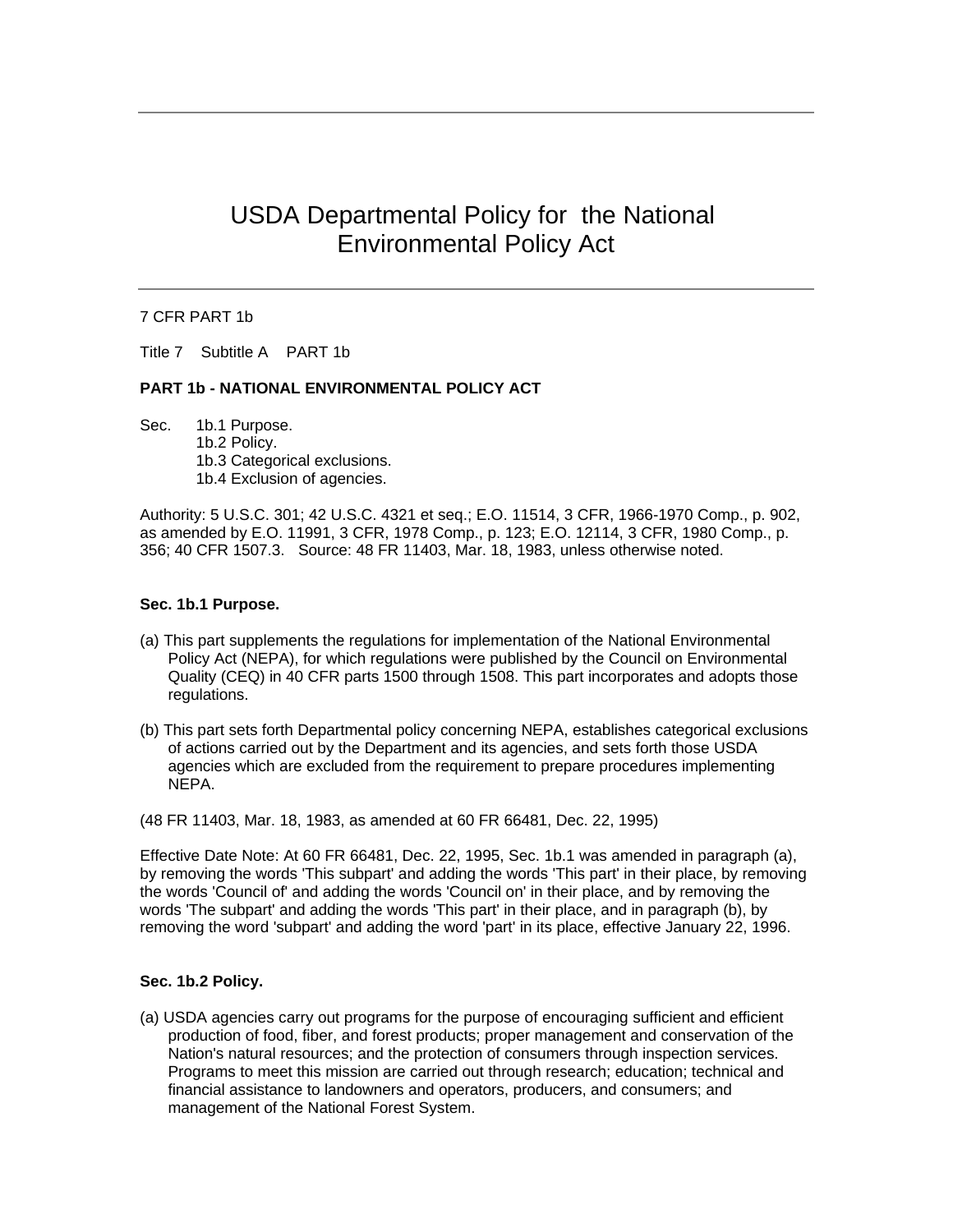# USDA Departmental Policy for the National Environmental Policy Act

## 7 CFR PART 1b

Title 7 Subtitle A PART 1b

## **PART 1b - NATIONAL ENVIRONMENTAL POLICY ACT**

Sec. 1b.1 Purpose. 1b.2 Policy. 1b.3 Categorical exclusions. 1b.4 Exclusion of agencies.

Authority: 5 U.S.C. 301; 42 U.S.C. 4321 et seq.; E.O. 11514, 3 CFR, 1966-1970 Comp., p. 902, as amended by E.O. 11991, 3 CFR, 1978 Comp., p. 123; E.O. 12114, 3 CFR, 1980 Comp., p. 356; 40 CFR 1507.3. Source: 48 FR 11403, Mar. 18, 1983, unless otherwise noted.

#### **Sec. 1b.1 Purpose.**

- (a) This part supplements the regulations for implementation of the National Environmental Policy Act (NEPA), for which regulations were published by the Council on Environmental Quality (CEQ) in 40 CFR parts 1500 through 1508. This part incorporates and adopts those regulations.
- (b) This part sets forth Departmental policy concerning NEPA, establishes categorical exclusions of actions carried out by the Department and its agencies, and sets forth those USDA agencies which are excluded from the requirement to prepare procedures implementing NEPA.

(48 FR 11403, Mar. 18, 1983, as amended at 60 FR 66481, Dec. 22, 1995)

Effective Date Note: At 60 FR 66481, Dec. 22, 1995, Sec. 1b.1 was amended in paragraph (a), by removing the words 'This subpart' and adding the words 'This part' in their place, by removing the words 'Council of' and adding the words 'Council on' in their place, and by removing the words 'The subpart' and adding the words 'This part' in their place, and in paragraph (b), by removing the word 'subpart' and adding the word 'part' in its place, effective January 22, 1996.

#### **Sec. 1b.2 Policy.**

(a) USDA agencies carry out programs for the purpose of encouraging sufficient and efficient production of food, fiber, and forest products; proper management and conservation of the Nation's natural resources; and the protection of consumers through inspection services. Programs to meet this mission are carried out through research; education; technical and financial assistance to landowners and operators, producers, and consumers; and management of the National Forest System.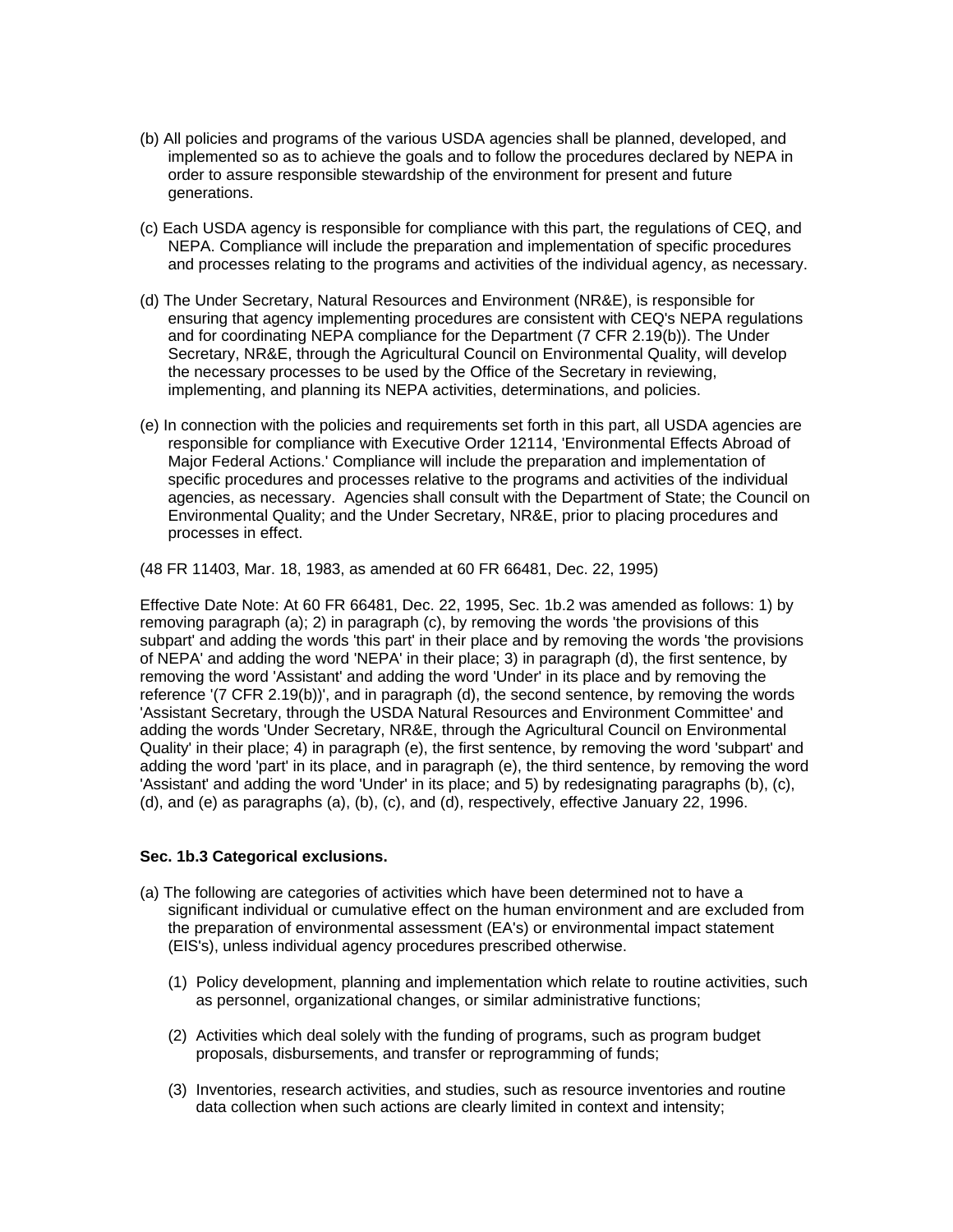- (b) All policies and programs of the various USDA agencies shall be planned, developed, and implemented so as to achieve the goals and to follow the procedures declared by NEPA in order to assure responsible stewardship of the environment for present and future generations.
- (c) Each USDA agency is responsible for compliance with this part, the regulations of CEQ, and NEPA. Compliance will include the preparation and implementation of specific procedures and processes relating to the programs and activities of the individual agency, as necessary.
- (d) The Under Secretary, Natural Resources and Environment (NR&E), is responsible for ensuring that agency implementing procedures are consistent with CEQ's NEPA regulations and for coordinating NEPA compliance for the Department (7 CFR 2.19(b)). The Under Secretary, NR&E, through the Agricultural Council on Environmental Quality, will develop the necessary processes to be used by the Office of the Secretary in reviewing, implementing, and planning its NEPA activities, determinations, and policies.
- (e) In connection with the policies and requirements set forth in this part, all USDA agencies are responsible for compliance with Executive Order 12114, 'Environmental Effects Abroad of Major Federal Actions.' Compliance will include the preparation and implementation of specific procedures and processes relative to the programs and activities of the individual agencies, as necessary. Agencies shall consult with the Department of State; the Council on Environmental Quality; and the Under Secretary, NR&E, prior to placing procedures and processes in effect.

(48 FR 11403, Mar. 18, 1983, as amended at 60 FR 66481, Dec. 22, 1995)

Effective Date Note: At 60 FR 66481, Dec. 22, 1995, Sec. 1b.2 was amended as follows: 1) by removing paragraph (a); 2) in paragraph (c), by removing the words 'the provisions of this subpart' and adding the words 'this part' in their place and by removing the words 'the provisions of NEPA' and adding the word 'NEPA' in their place; 3) in paragraph (d), the first sentence, by removing the word 'Assistant' and adding the word 'Under' in its place and by removing the reference '(7 CFR 2.19(b))', and in paragraph (d), the second sentence, by removing the words 'Assistant Secretary, through the USDA Natural Resources and Environment Committee' and adding the words 'Under Secretary, NR&E, through the Agricultural Council on Environmental Quality' in their place; 4) in paragraph (e), the first sentence, by removing the word 'subpart' and adding the word 'part' in its place, and in paragraph (e), the third sentence, by removing the word 'Assistant' and adding the word 'Under' in its place; and 5) by redesignating paragraphs (b), (c), (d), and (e) as paragraphs (a), (b), (c), and (d), respectively, effective January 22, 1996.

# **Sec. 1b.3 Categorical exclusions.**

- (a) The following are categories of activities which have been determined not to have a significant individual or cumulative effect on the human environment and are excluded from the preparation of environmental assessment (EA's) or environmental impact statement (EIS's), unless individual agency procedures prescribed otherwise.
	- (1) Policy development, planning and implementation which relate to routine activities, such as personnel, organizational changes, or similar administrative functions;
	- (2) Activities which deal solely with the funding of programs, such as program budget proposals, disbursements, and transfer or reprogramming of funds;
	- (3) Inventories, research activities, and studies, such as resource inventories and routine data collection when such actions are clearly limited in context and intensity;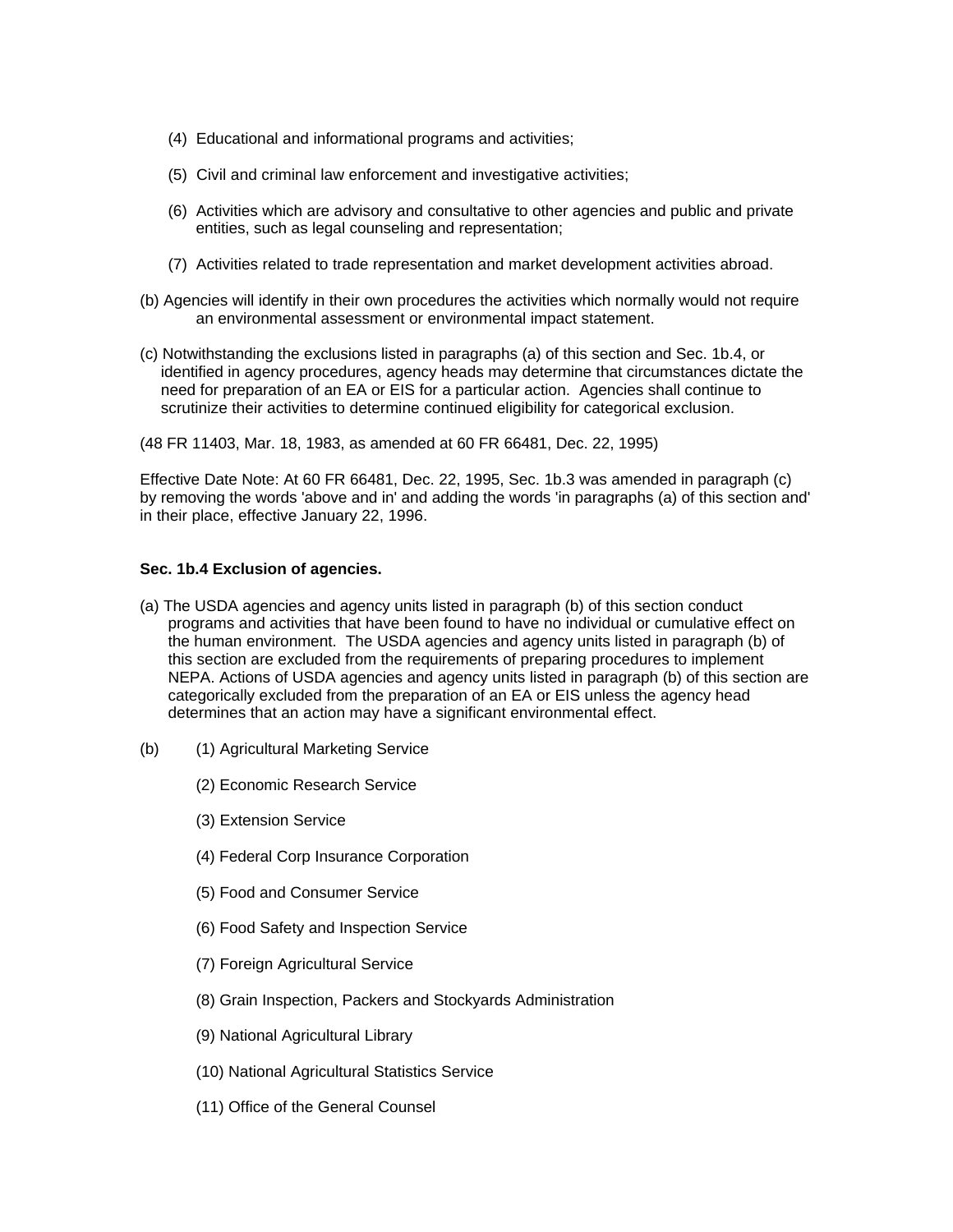- (4) Educational and informational programs and activities;
- (5) Civil and criminal law enforcement and investigative activities;
- (6) Activities which are advisory and consultative to other agencies and public and private entities, such as legal counseling and representation;
- (7) Activities related to trade representation and market development activities abroad.
- (b) Agencies will identify in their own procedures the activities which normally would not require an environmental assessment or environmental impact statement.
- (c) Notwithstanding the exclusions listed in paragraphs (a) of this section and Sec. 1b.4, or identified in agency procedures, agency heads may determine that circumstances dictate the need for preparation of an EA or EIS for a particular action. Agencies shall continue to scrutinize their activities to determine continued eligibility for categorical exclusion.
- (48 FR 11403, Mar. 18, 1983, as amended at 60 FR 66481, Dec. 22, 1995)

Effective Date Note: At 60 FR 66481, Dec. 22, 1995, Sec. 1b.3 was amended in paragraph (c) by removing the words 'above and in' and adding the words 'in paragraphs (a) of this section and' in their place, effective January 22, 1996.

# **Sec. 1b.4 Exclusion of agencies.**

- (a) The USDA agencies and agency units listed in paragraph (b) of this section conduct programs and activities that have been found to have no individual or cumulative effect on the human environment. The USDA agencies and agency units listed in paragraph (b) of this section are excluded from the requirements of preparing procedures to implement NEPA. Actions of USDA agencies and agency units listed in paragraph (b) of this section are categorically excluded from the preparation of an EA or EIS unless the agency head determines that an action may have a significant environmental effect.
- (b) (1) Agricultural Marketing Service
	- (2) Economic Research Service
	- (3) Extension Service
	- (4) Federal Corp Insurance Corporation
	- (5) Food and Consumer Service
	- (6) Food Safety and Inspection Service
	- (7) Foreign Agricultural Service
	- (8) Grain Inspection, Packers and Stockyards Administration
	- (9) National Agricultural Library
	- (10) National Agricultural Statistics Service
	- (11) Office of the General Counsel